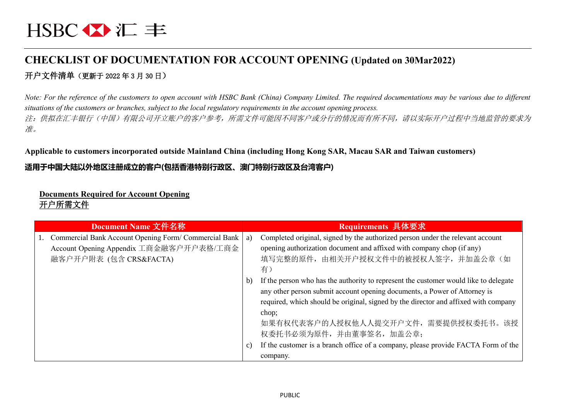# **CHECKLIST OF DOCUMENTATION FOR ACCOUNT OPENING (Updated on 30Mar2022)** 开户文件清单(更新于 2022 年 3 月 30 日)

*Note: For the reference of the customers to open account with HSBC Bank (China) Company Limited. The required documentations may be various due to different situations of the customers or branches, subject to the local regulatory requirements in the account opening process.* 注:供拟在汇丰银行(中国)有限公司开立账户的客户参考,所需文件可能因不同客户或分行的情况而有所不同,请以实际开户过程中当地监管的要求为 准。

#### **Applicable to customers incorporated outside Mainland China (including Hong Kong SAR, Macau SAR and Taiwan customers)**

## **适用于中国大陆以外地区注册成立的客户(包括香港特别行政区、澳门特别行政区及台湾客户)**

# **Documents Required for Account Opening**

### 开户所需文件

| Document Name 文件名称                                    |    | Requirements 具体要求                                                                    |
|-------------------------------------------------------|----|--------------------------------------------------------------------------------------|
| Commercial Bank Account Opening Form/ Commercial Bank | a) | Completed original, signed by the authorized person under the relevant account       |
| Account Opening Appendix 工商金融客户开户表格/工商金               |    | opening authorization document and affixed with company chop (if any)                |
| 融客户开户附表 (包含 CRS&FACTA)                                |    | 填写完整的原件, 由相关开户授权文件中的被授权人签字, 并加盖公章(如                                                  |
|                                                       |    | 有)                                                                                   |
|                                                       | b) | If the person who has the authority to represent the customer would like to delegate |
|                                                       |    | any other person submit account opening documents, a Power of Attorney is            |
|                                                       |    | required, which should be original, signed by the director and affixed with company  |
|                                                       |    | chop;                                                                                |
|                                                       |    | 如果有权代表客户的人授权他人人提交开户文件, 需要提供授权委托书。该授                                                  |
|                                                       |    | 权委托书必须为原件, 并由董事签名, 加盖公章;                                                             |
|                                                       | C) | If the customer is a branch office of a company, please provide FACTA Form of the    |
|                                                       |    | company.                                                                             |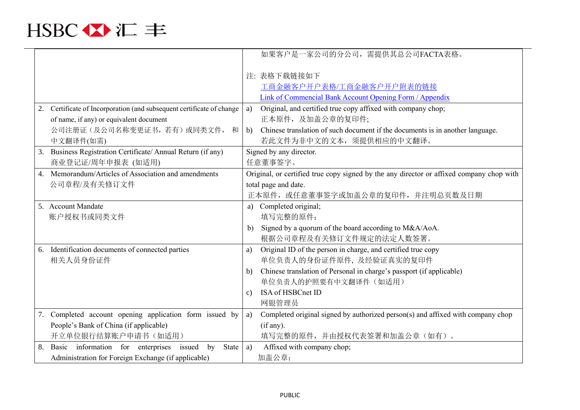

|                                                                       | 如果客户是一家公司的分公司,需提供其总公司FACTA表格。                                                            |
|-----------------------------------------------------------------------|------------------------------------------------------------------------------------------|
|                                                                       | 注: 表格下载链接如下                                                                              |
|                                                                       | 工商金融客户开户表格/工商金融客户开户附表的链接                                                                 |
|                                                                       | Link of Commencial Bank Account Opening Form / Appendix                                  |
| 2. Certificate of Incorporation (and subsequent certificate of change | Original, and certified true copy affixed with company chop;<br>a)                       |
| of name, if any) or equivalent document                               | 正本原件,及加盖公章的复印件;                                                                          |
| 公司注册证(及公司名称变更证书, 若有)或同类文件,<br>和                                       | Chinese translation of such document if the documents is in another language.<br>b)      |
| 中文翻译件(如需)                                                             | 若此文件为非中文的文本,须提供相应的中文翻译。                                                                  |
| Business Registration Certificate/ Annual Return (if any)<br>3.       | Signed by any director.                                                                  |
| 商业登记证/周年申报表 (如适用)                                                     | 任意董事签字。                                                                                  |
| Memorandum/Articles of Association and amendments<br>$\overline{4}$ . | Original, or certified true copy signed by the any director or affixed company chop with |
| 公司章程/及有关修订文件                                                          | total page and date.                                                                     |
|                                                                       | 正本原件, 或任意董事签字或加盖公章的复印件, 并注明总页数及日期                                                        |
| 5. Account Mandate                                                    | a) Completed original;                                                                   |
| 账户授权书或同类文件                                                            | 填写完整的原件;                                                                                 |
|                                                                       | Signed by a quorum of the board according to M&A/AoA.<br>b)                              |
|                                                                       | 根据公司章程及有关修订文件规定的法定人数签署。                                                                  |
| Identification documents of connected parties<br>6.                   | Original ID of the person in charge, and certified true copy<br>a)                       |
| 相关人员身份证件                                                              | 单位负责人的身份证件原件, 及经验证真实的复印件                                                                 |
|                                                                       | Chinese translation of Personal in charge's passport (if applicable)<br>b)               |
|                                                                       | 单位负责人的护照要有中文翻译件(如适用)                                                                     |
|                                                                       | ISA of HSBCnet ID<br>$\mathcal{C}$ )                                                     |
|                                                                       | 网银管理员                                                                                    |
| Completed account opening application form issued by<br>7.            | Completed original signed by authorized person(s) and affixed with company chop<br>a)    |
| People's Bank of China (if applicable)                                | (if any).                                                                                |
| 开立单位银行结算账户申请书(如适用)                                                    | 填写完整的原件,并由授权代表签署和加盖公章(如有)。                                                               |
| Basic information for enterprises issued by<br>8.<br>State            | Affixed with company chop;<br>a)                                                         |
| Administration for Foreign Exchange (if applicable)                   | 加盖公章;                                                                                    |